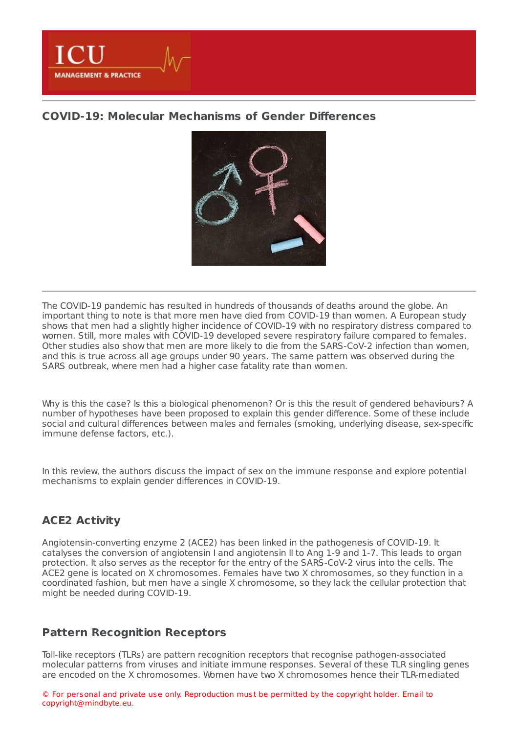

### **COVID-19: Molecular [Mechanisms](https://healthmanagement.org/s/covid-19-molecular-mechanisms-of-gender-differences) of Gender Differences**



The COVID-19 pandemic has resulted in hundreds of thousands of deaths around the globe. An important thing to note is that more men have died from COVID-19 than women. A European study shows that men had a slightly higher incidence of COVID-19 with no respiratory distress compared to women. Still, more males with COVID-19 developed severe respiratory failure compared to females. Other studies also show that men are more likely to die from the SARS-CoV-2 infection than women, and this is true across all age groups under 90 years. The same pattern was observed during the SARS outbreak, where men had a higher case fatality rate than women.

Why is this the case? Is this a biological phenomenon? Or is this the result of gendered behaviours? A number of hypotheses have been proposed to explain this gender difference. Some of these include social and cultural differences between males and females (smoking, underlying disease, sex-specific immune defense factors, etc.).

In this review, the authors discuss the impact of sex on the immune response and explore potential mechanisms to explain gender differences in COVID-19.

### **ACE2 Activity**

Angiotensin-converting enzyme 2 (ACE2) has been linked in the pathogenesis of COVID-19. It catalyses the conversion of angiotensin I and angiotensin II to Ang 1-9 and 1-7. This leads to organ protection. It also serves as the receptor for the entry of the SARS-CoV-2 virus into the cells. The ACE2 gene is located on X chromosomes. Females have two X chromosomes, so they function in a coordinated fashion, but men have a single X chromosome, so they lack the cellular protection that might be needed during COVID-19.

#### **Pattern Recognition Receptors**

Toll-like receptors (TLRs) are pattern recognition receptors that recognise pathogen-associated molecular patterns from viruses and initiate immune responses. Several of these TLR singling genes are encoded on the X chromosomes. Women have two X chromosomes hence their TLR-mediated

© For personal and private use only. Reproduction must be permitted by the copyright holder. Email to copyright@mindbyte.eu.